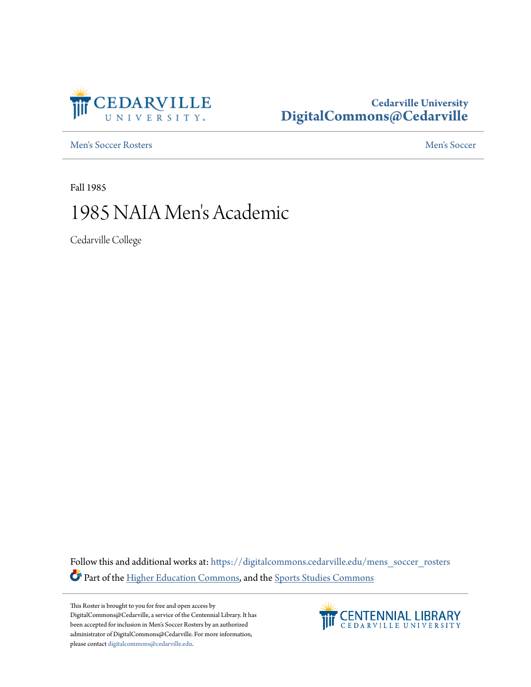

## **Cedarville University [DigitalCommons@Cedarville](https://digitalcommons.cedarville.edu?utm_source=digitalcommons.cedarville.edu%2Fmens_soccer_rosters%2F84&utm_medium=PDF&utm_campaign=PDFCoverPages)**

[Men's Soccer Rosters](https://digitalcommons.cedarville.edu/mens_soccer_rosters?utm_source=digitalcommons.cedarville.edu%2Fmens_soccer_rosters%2F84&utm_medium=PDF&utm_campaign=PDFCoverPages) [Men's Soccer](https://digitalcommons.cedarville.edu/mens_soccer?utm_source=digitalcommons.cedarville.edu%2Fmens_soccer_rosters%2F84&utm_medium=PDF&utm_campaign=PDFCoverPages)

Fall 1985

## 1985 NAIA Men 's Academic

Cedarville College

Follow this and additional works at: [https://digitalcommons.cedarville.edu/mens\\_soccer\\_rosters](https://digitalcommons.cedarville.edu/mens_soccer_rosters?utm_source=digitalcommons.cedarville.edu%2Fmens_soccer_rosters%2F84&utm_medium=PDF&utm_campaign=PDFCoverPages) Part of the [Higher Education Commons](http://network.bepress.com/hgg/discipline/1245?utm_source=digitalcommons.cedarville.edu%2Fmens_soccer_rosters%2F84&utm_medium=PDF&utm_campaign=PDFCoverPages), and the [Sports Studies Commons](http://network.bepress.com/hgg/discipline/1198?utm_source=digitalcommons.cedarville.edu%2Fmens_soccer_rosters%2F84&utm_medium=PDF&utm_campaign=PDFCoverPages)

This Roster is brought to you for free and open access by DigitalCommons@Cedarville, a service of the Centennial Library. It has been accepted for inclusion in Men's Soccer Rosters by an authorized administrator of DigitalCommons@Cedarville. For more information, please contact [digitalcommons@cedarville.edu.](mailto:digitalcommons@cedarville.edu)